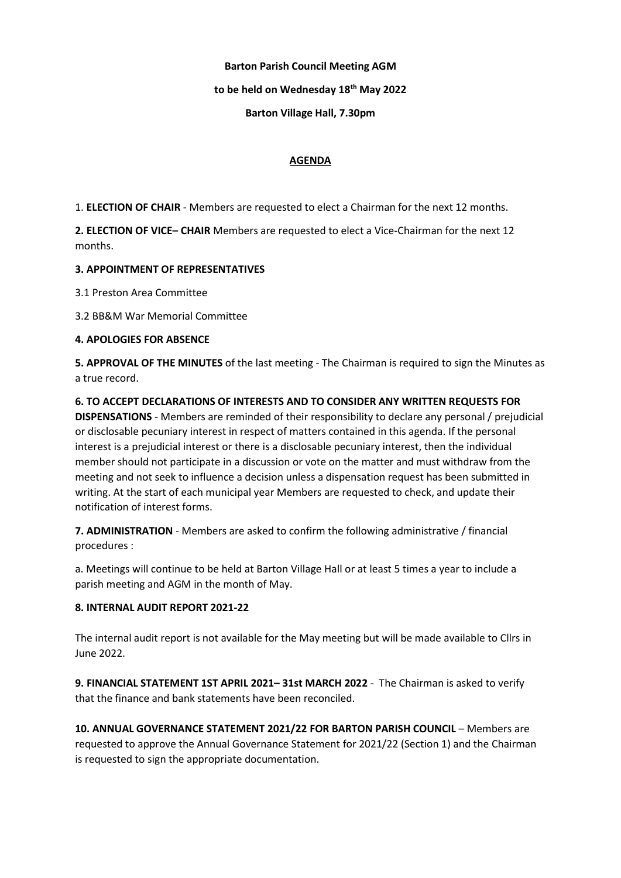## Barton Parish Council Meeting AGM

## to be held on Wednesday 18<sup>th</sup> May 2022

## Barton Village Hall, 7.30pm

#### AGENDA

1. ELECTION OF CHAIR - Members are requested to elect a Chairman for the next 12 months.

2. ELECTION OF VICE– CHAIR Members are requested to elect a Vice-Chairman for the next 12 months.

## 3. APPOINTMENT OF REPRESENTATIVES

3.1 Preston Area Committee

3.2 BB&M War Memorial Committee

## 4. APOLOGIES FOR ABSENCE

5. APPROVAL OF THE MINUTES of the last meeting - The Chairman is required to sign the Minutes as a true record.

6. TO ACCEPT DECLARATIONS OF INTERESTS AND TO CONSIDER ANY WRITTEN REQUESTS FOR DISPENSATIONS - Members are reminded of their responsibility to declare any personal / prejudicial or disclosable pecuniary interest in respect of matters contained in this agenda. If the personal interest is a prejudicial interest or there is a disclosable pecuniary interest, then the individual member should not participate in a discussion or vote on the matter and must withdraw from the meeting and not seek to influence a decision unless a dispensation request has been submitted in writing. At the start of each municipal year Members are requested to check, and update their notification of interest forms.

7. ADMINISTRATION - Members are asked to confirm the following administrative / financial procedures :

a. Meetings will continue to be held at Barton Village Hall or at least 5 times a year to include a parish meeting and AGM in the month of May.

#### 8. INTERNAL AUDIT REPORT 2021-22

The internal audit report is not available for the May meeting but will be made available to Cllrs in June 2022.

9. FINANCIAL STATEMENT 1ST APRIL 2021-31st MARCH 2022 - The Chairman is asked to verify that the finance and bank statements have been reconciled.

10. ANNUAL GOVERNANCE STATEMENT 2021/22 FOR BARTON PARISH COUNCIL – Members are requested to approve the Annual Governance Statement for 2021/22 (Section 1) and the Chairman is requested to sign the appropriate documentation.